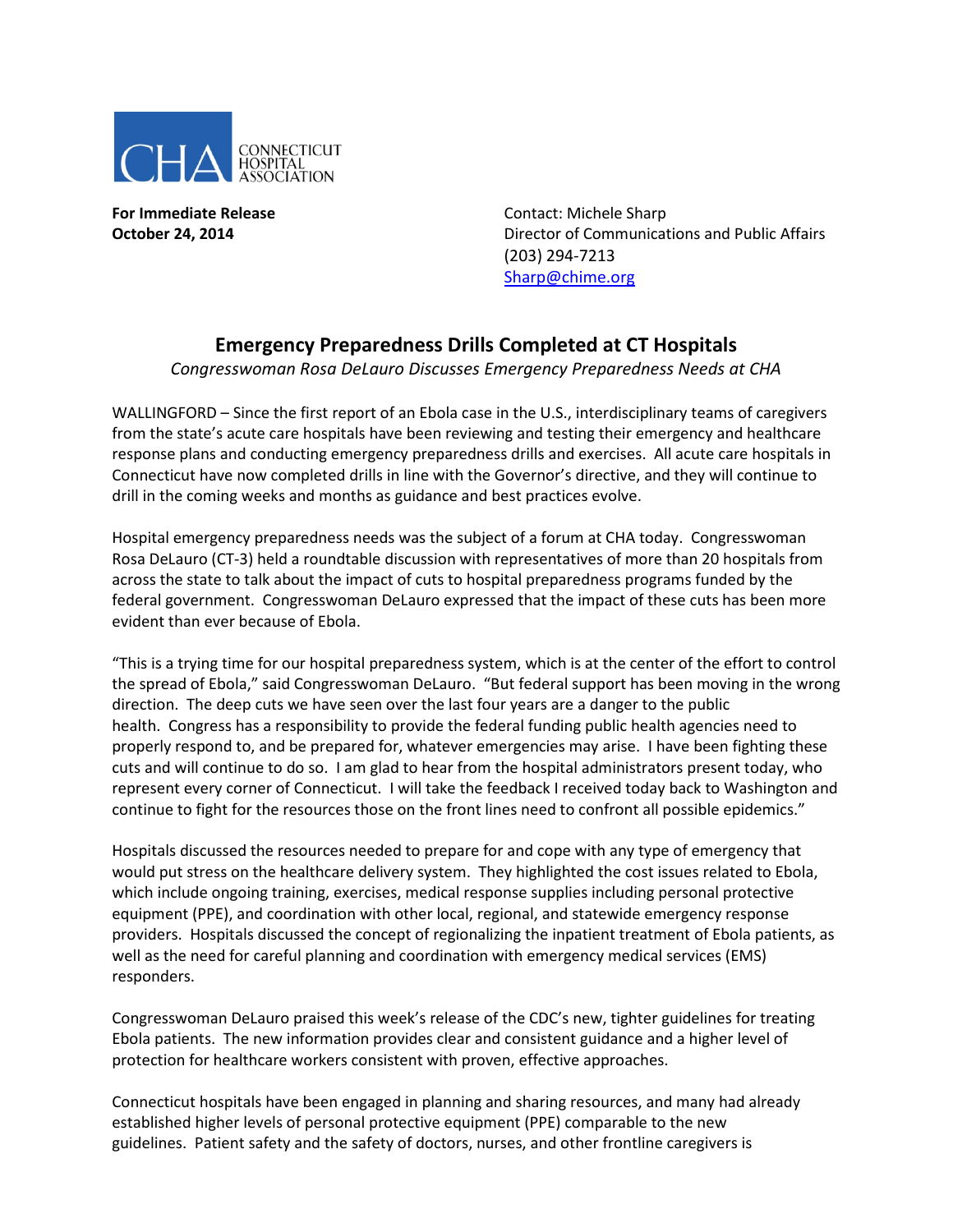

**For Immediate Release Contact: Michele Sharp** 

**October 24, 2014 Director of Communications and Public Affairs** (203) 294-7213 [Sharp@chime.org](mailto:Sharp@chime.org)

## **Emergency Preparedness Drills Completed at CT Hospitals**

*Congresswoman Rosa DeLauro Discusses Emergency Preparedness Needs at CHA*

WALLINGFORD – Since the first report of an Ebola case in the U.S., interdisciplinary teams of caregivers from the state's acute care hospitals have been reviewing and testing their emergency and healthcare response plans and conducting emergency preparedness drills and exercises. All acute care hospitals in Connecticut have now completed drills in line with the Governor's directive, and they will continue to drill in the coming weeks and months as guidance and best practices evolve.

Hospital emergency preparedness needs was the subject of a forum at CHA today. Congresswoman Rosa DeLauro (CT-3) held a roundtable discussion with representatives of more than 20 hospitals from across the state to talk about the impact of cuts to hospital preparedness programs funded by the federal government. Congresswoman DeLauro expressed that the impact of these cuts has been more evident than ever because of Ebola.

"This is a trying time for our hospital preparedness system, which is at the center of the effort to control the spread of Ebola," said Congresswoman DeLauro. "But federal support has been moving in the wrong direction. The deep cuts we have seen over the last four years are a danger to the public health. Congress has a responsibility to provide the federal funding public health agencies need to properly respond to, and be prepared for, whatever emergencies may arise. I have been fighting these cuts and will continue to do so. I am glad to hear from the hospital administrators present today, who represent every corner of Connecticut. I will take the feedback I received today back to Washington and continue to fight for the resources those on the front lines need to confront all possible epidemics."

Hospitals discussed the resources needed to prepare for and cope with any type of emergency that would put stress on the healthcare delivery system. They highlighted the cost issues related to Ebola, which include ongoing training, exercises, medical response supplies including personal protective equipment (PPE), and coordination with other local, regional, and statewide emergency response providers. Hospitals discussed the concept of regionalizing the inpatient treatment of Ebola patients, as well as the need for careful planning and coordination with emergency medical services (EMS) responders.

Congresswoman DeLauro praised this week's release of the CDC's new, tighter guidelines for treating Ebola patients. The new information provides clear and consistent guidance and a higher level of protection for healthcare workers consistent with proven, effective approaches.

Connecticut hospitals have been engaged in planning and sharing resources, and many had already established higher levels of personal protective equipment (PPE) comparable to the new guidelines. Patient safety and the safety of doctors, nurses, and other frontline caregivers is